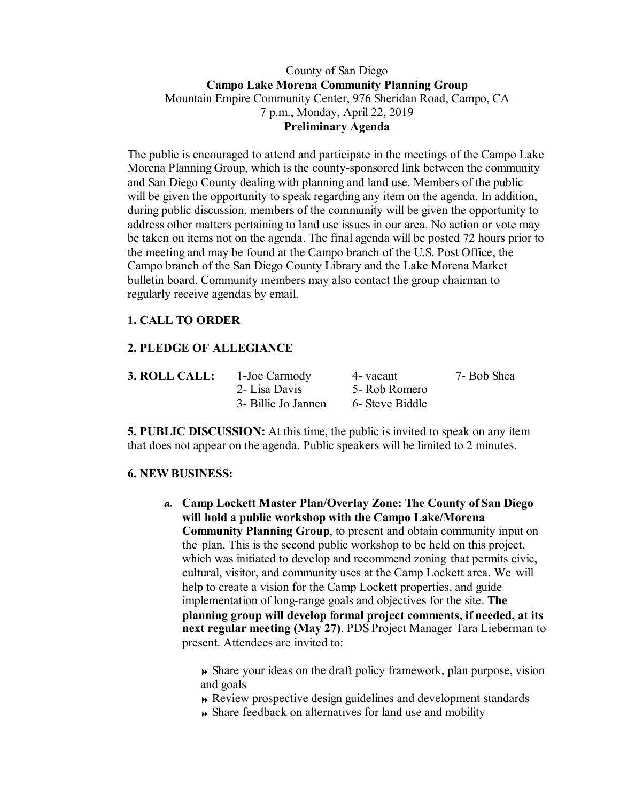## County of San Diego **Campo Lake Morena Community Planning Group** Mountain Empire Community Center, 976 Sheridan Road, Campo, CA 7 p.m., Monday, April 22, 2019 **Preliminary Agenda**

The public is encouraged to attend and participate in the meetings of the Campo Lake Morena Planning Group, which is the county-sponsored link between the community and San Diego County dealing with planning and land use. Members of the public will be given the opportunity to speak regarding any item on the agenda. In addition, during public discussion, members of the community will be given the opportunity to address other matters pertaining to land use issues in our area. No action or vote may be taken on items not on the agenda. The final agenda will be posted 72 hours prior to the meeting and may be found at the Campo branch of the U.S. Post Office, the Campo branch of the San Diego County Library and the Lake Morena Market bulletin board. Community members may also contact the group chairman to regularly receive agendas by email.

# **1. CALL TO ORDER**

## **2. PLEDGE OF ALLEGIANCE**

| <b>3. ROLL CALL:</b> | 1-Joe Carmody       | 4- vacant       | 7- Bob Shea |
|----------------------|---------------------|-----------------|-------------|
|                      | 2- Lisa Davis       | 5- Rob Romero   |             |
|                      | 3- Billie Jo Jannen | 6- Steve Biddle |             |

**5. PUBLIC DISCUSSION:** At this time, the public is invited to speak on any item that does not appear on the agenda. Public speakers will be limited to 2 minutes.

### **6. NEW BUSINESS:**

**a. Camp Lockett Master Plan/Overlay Zone: The County of San Diego will hold a public workshop with the Campo Lake/Morena Community Planning Group**, to present and obtain community input on the plan. This is the second public workshop to be held on this project, which was initiated to develop and recommend zoning that permits civic, cultural, visitor, and community uses at the Camp Lockett area. We will help to create a vision for the Camp Lockett properties, and guide implementation of long-range goals and objectives for the site. **The planning group will develop formal project comments, if needed, at its next regular meeting (May 27)**. PDS Project Manager Tara Lieberman to present. Attendees are invited to:

 Share your ideas on the draft policy framework, plan purpose, vision and goals

- Review prospective design guidelines and development standards
- Share feedback on alternatives for land use and mobility